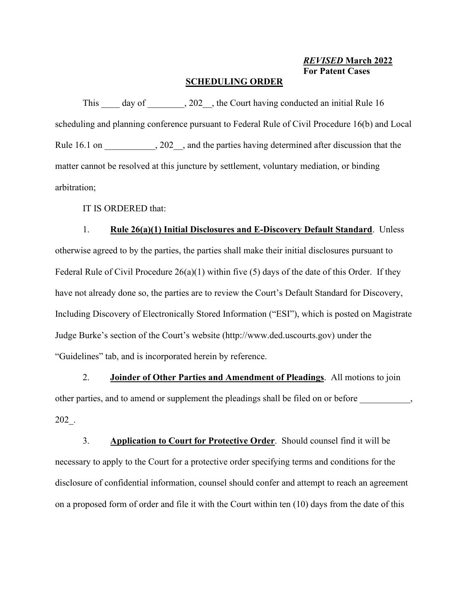*REVISED* **March 2022 For Patent Cases**

#### **SCHEDULING ORDER**

This day of , 202, the Court having conducted an initial Rule 16 scheduling and planning conference pursuant to Federal Rule of Civil Procedure 16(b) and Local Rule 16.1 on  $\ldots$ , 202 , and the parties having determined after discussion that the matter cannot be resolved at this juncture by settlement, voluntary mediation, or binding arbitration;

IT IS ORDERED that:

## 1. **Rule 26(a)(1) Initial Disclosures and E-Discovery Default Standard**. Unless

otherwise agreed to by the parties, the parties shall make their initial disclosures pursuant to Federal Rule of Civil Procedure 26(a)(1) within five (5) days of the date of this Order. If they have not already done so, the parties are to review the Court's Default Standard for Discovery, Including Discovery of Electronically Stored Information ("ESI"), which is posted on Magistrate Judge Burke's section of the Court's website (http://www.ded.uscourts.gov) under the "Guidelines" tab, and is incorporated herein by reference.

2. **Joinder of Other Parties and Amendment of Pleadings**. All motions to join other parties, and to amend or supplement the pleadings shall be filed on or before \_\_\_\_\_\_\_\_\_\_\_, 202\_.

3. **Application to Court for Protective Order**. Should counsel find it will be necessary to apply to the Court for a protective order specifying terms and conditions for the disclosure of confidential information, counsel should confer and attempt to reach an agreement on a proposed form of order and file it with the Court within ten (10) days from the date of this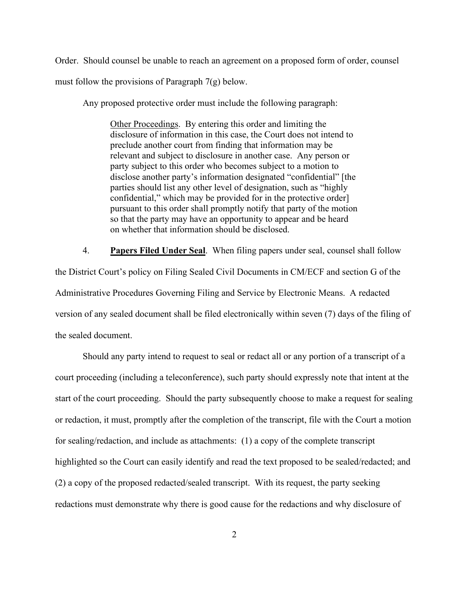Order. Should counsel be unable to reach an agreement on a proposed form of order, counsel must follow the provisions of Paragraph 7(g) below.

Any proposed protective order must include the following paragraph:

Other Proceedings. By entering this order and limiting the disclosure of information in this case, the Court does not intend to preclude another court from finding that information may be relevant and subject to disclosure in another case. Any person or party subject to this order who becomes subject to a motion to disclose another party's information designated "confidential" [the parties should list any other level of designation, such as "highly confidential," which may be provided for in the protective order] pursuant to this order shall promptly notify that party of the motion so that the party may have an opportunity to appear and be heard on whether that information should be disclosed.

4. **Papers Filed Under Seal**. When filing papers under seal, counsel shall follow the District Court's policy on Filing Sealed Civil Documents in CM/ECF and section G of the Administrative Procedures Governing Filing and Service by Electronic Means. A redacted version of any sealed document shall be filed electronically within seven (7) days of the filing of the sealed document.

Should any party intend to request to seal or redact all or any portion of a transcript of a court proceeding (including a teleconference), such party should expressly note that intent at the start of the court proceeding. Should the party subsequently choose to make a request for sealing or redaction, it must, promptly after the completion of the transcript, file with the Court a motion for sealing/redaction, and include as attachments: (1) a copy of the complete transcript highlighted so the Court can easily identify and read the text proposed to be sealed/redacted; and (2) a copy of the proposed redacted/sealed transcript. With its request, the party seeking redactions must demonstrate why there is good cause for the redactions and why disclosure of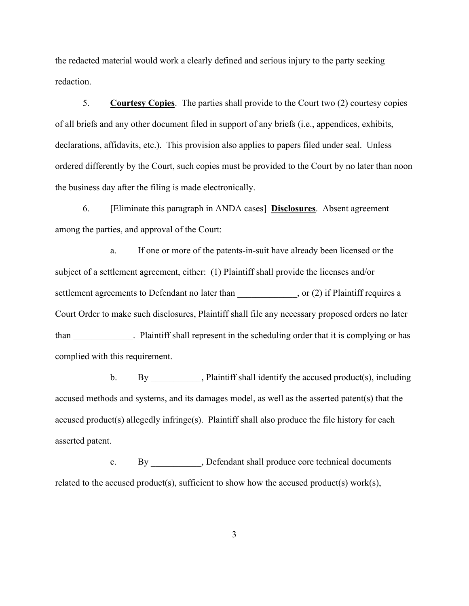the redacted material would work a clearly defined and serious injury to the party seeking redaction.

5. **Courtesy Copies**. The parties shall provide to the Court two (2) courtesy copies of all briefs and any other document filed in support of any briefs (i.e., appendices, exhibits, declarations, affidavits, etc.). This provision also applies to papers filed under seal. Unless ordered differently by the Court, such copies must be provided to the Court by no later than noon the business day after the filing is made electronically.

6. [Eliminate this paragraph in ANDA cases] **Disclosures**. Absent agreement among the parties, and approval of the Court:

a. If one or more of the patents-in-suit have already been licensed or the subject of a settlement agreement, either: (1) Plaintiff shall provide the licenses and/or settlement agreements to Defendant no later than \_\_\_\_\_\_\_\_\_\_\_, or (2) if Plaintiff requires a Court Order to make such disclosures, Plaintiff shall file any necessary proposed orders no later than electron electron Plaintiff shall represent in the scheduling order that it is complying or has complied with this requirement.

b. By Plaintiff shall identify the accused product(s), including accused methods and systems, and its damages model, as well as the asserted patent(s) that the accused product(s) allegedly infringe(s). Plaintiff shall also produce the file history for each asserted patent.

c. By \_\_\_\_\_\_\_\_\_\_\_, Defendant shall produce core technical documents related to the accused product(s), sufficient to show how the accused product(s) work(s),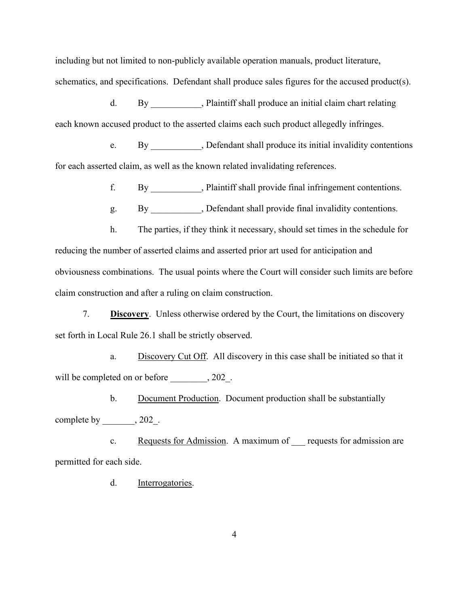including but not limited to non-publicly available operation manuals, product literature, schematics, and specifications. Defendant shall produce sales figures for the accused product(s).

d. By Plaintiff shall produce an initial claim chart relating each known accused product to the asserted claims each such product allegedly infringes.

e. By \_\_\_\_\_\_\_\_\_\_\_, Defendant shall produce its initial invalidity contentions for each asserted claim, as well as the known related invalidating references.

f. By \_\_\_\_\_\_\_\_\_\_\_, Plaintiff shall provide final infringement contentions.

g. By By Befendant shall provide final invalidity contentions.

h. The parties, if they think it necessary, should set times in the schedule for reducing the number of asserted claims and asserted prior art used for anticipation and obviousness combinations. The usual points where the Court will consider such limits are before claim construction and after a ruling on claim construction.

7. **Discovery**. Unless otherwise ordered by the Court, the limitations on discovery set forth in Local Rule 26.1 shall be strictly observed.

a. Discovery Cut Off. All discovery in this case shall be initiated so that it will be completed on or before \_\_\_\_\_\_\_\_, 202\_.

b. Document Production. Document production shall be substantially complete by \_\_\_\_\_\_\_, 202\_.

c. Requests for Admission. A maximum of requests for admission are permitted for each side.

d. Interrogatories.

4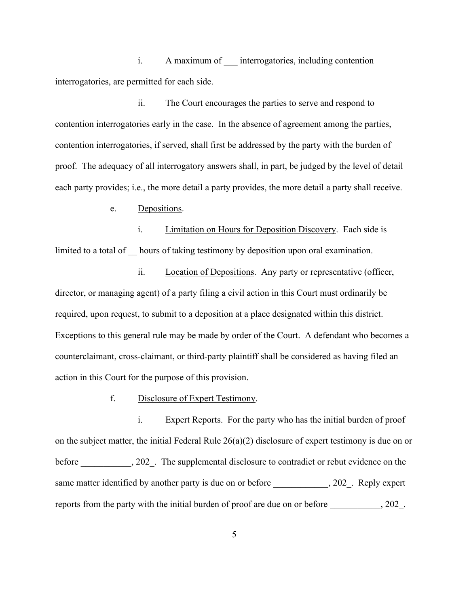i. A maximum of \_\_\_ interrogatories, including contention interrogatories, are permitted for each side.

ii. The Court encourages the parties to serve and respond to contention interrogatories early in the case. In the absence of agreement among the parties, contention interrogatories, if served, shall first be addressed by the party with the burden of proof. The adequacy of all interrogatory answers shall, in part, be judged by the level of detail each party provides; i.e., the more detail a party provides, the more detail a party shall receive.

e. Depositions.

i. Limitation on Hours for Deposition Discovery. Each side is limited to a total of hours of taking testimony by deposition upon oral examination.

ii. Location of Depositions. Any party or representative (officer, director, or managing agent) of a party filing a civil action in this Court must ordinarily be required, upon request, to submit to a deposition at a place designated within this district. Exceptions to this general rule may be made by order of the Court. A defendant who becomes a counterclaimant, cross-claimant, or third-party plaintiff shall be considered as having filed an action in this Court for the purpose of this provision.

f. Disclosure of Expert Testimony.

i. Expert Reports. For the party who has the initial burden of proof on the subject matter, the initial Federal Rule  $26(a)(2)$  disclosure of expert testimony is due on or before \_\_\_\_\_\_\_\_\_\_\_, 202\_. The supplemental disclosure to contradict or rebut evidence on the same matter identified by another party is due on or before \_\_\_\_\_\_\_\_\_\_\_\_, 202\_. Reply expert reports from the party with the initial burden of proof are due on or before \_\_\_\_\_\_\_\_\_, 202\_.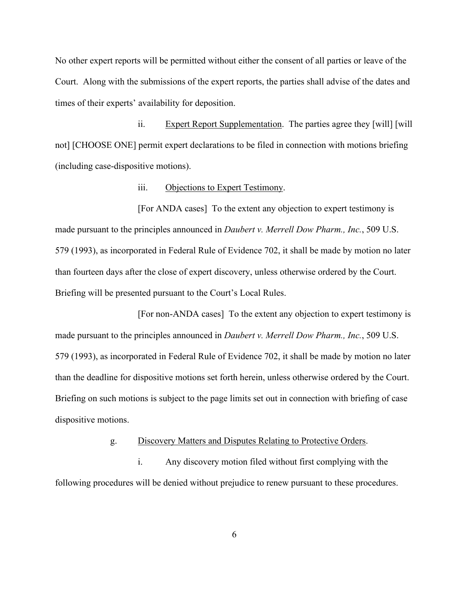No other expert reports will be permitted without either the consent of all parties or leave of the Court. Along with the submissions of the expert reports, the parties shall advise of the dates and times of their experts' availability for deposition.

ii. Expert Report Supplementation. The parties agree they [will] [will not] [CHOOSE ONE] permit expert declarations to be filed in connection with motions briefing (including case-dispositive motions).

### iii. Objections to Expert Testimony.

[For ANDA cases] To the extent any objection to expert testimony is made pursuant to the principles announced in *Daubert v. Merrell Dow Pharm., Inc.*, 509 U.S. 579 (1993), as incorporated in Federal Rule of Evidence 702, it shall be made by motion no later than fourteen days after the close of expert discovery, unless otherwise ordered by the Court. Briefing will be presented pursuant to the Court's Local Rules.

[For non-ANDA cases] To the extent any objection to expert testimony is made pursuant to the principles announced in *Daubert v. Merrell Dow Pharm., Inc.*, 509 U.S. 579 (1993), as incorporated in Federal Rule of Evidence 702, it shall be made by motion no later than the deadline for dispositive motions set forth herein, unless otherwise ordered by the Court. Briefing on such motions is subject to the page limits set out in connection with briefing of case dispositive motions.

g. Discovery Matters and Disputes Relating to Protective Orders.

i. Any discovery motion filed without first complying with the following procedures will be denied without prejudice to renew pursuant to these procedures.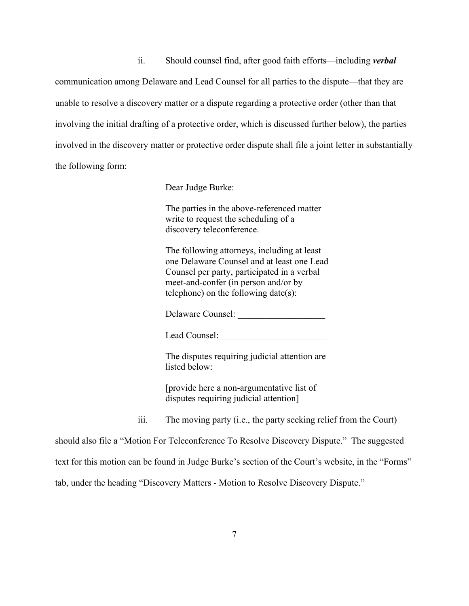ii. Should counsel find, after good faith efforts—including *verbal* communication among Delaware and Lead Counsel for all parties to the dispute—that they are unable to resolve a discovery matter or a dispute regarding a protective order (other than that involving the initial drafting of a protective order, which is discussed further below), the parties involved in the discovery matter or protective order dispute shall file a joint letter in substantially the following form:

Dear Judge Burke:

The parties in the above-referenced matter write to request the scheduling of a discovery teleconference.

The following attorneys, including at least one Delaware Counsel and at least one Lead Counsel per party, participated in a verbal meet-and-confer (in person and/or by telephone) on the following date(s):

Delaware Counsel:

Lead Counsel:

The disputes requiring judicial attention are listed below:

[provide here a non-argumentative list of disputes requiring judicial attention]

iii. The moving party (i.e., the party seeking relief from the Court)

should also file a "Motion For Teleconference To Resolve Discovery Dispute." The suggested text for this motion can be found in Judge Burke's section of the Court's website, in the "Forms" tab, under the heading "Discovery Matters - Motion to Resolve Discovery Dispute."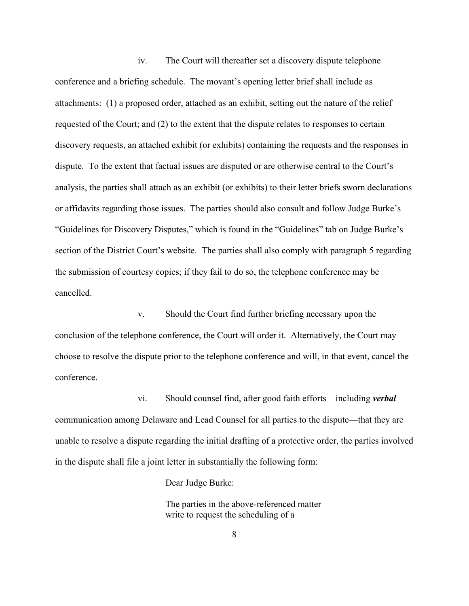iv. The Court will thereafter set a discovery dispute telephone conference and a briefing schedule. The movant's opening letter brief shall include as attachments: (1) a proposed order, attached as an exhibit, setting out the nature of the relief requested of the Court; and (2) to the extent that the dispute relates to responses to certain discovery requests, an attached exhibit (or exhibits) containing the requests and the responses in dispute. To the extent that factual issues are disputed or are otherwise central to the Court's analysis, the parties shall attach as an exhibit (or exhibits) to their letter briefs sworn declarations or affidavits regarding those issues. The parties should also consult and follow Judge Burke's "Guidelines for Discovery Disputes," which is found in the "Guidelines" tab on Judge Burke's section of the District Court's website. The parties shall also comply with paragraph 5 regarding the submission of courtesy copies; if they fail to do so, the telephone conference may be cancelled.

v. Should the Court find further briefing necessary upon the conclusion of the telephone conference, the Court will order it. Alternatively, the Court may choose to resolve the dispute prior to the telephone conference and will, in that event, cancel the conference.

vi. Should counsel find, after good faith efforts—including *verbal* communication among Delaware and Lead Counsel for all parties to the dispute—that they are unable to resolve a dispute regarding the initial drafting of a protective order, the parties involved in the dispute shall file a joint letter in substantially the following form:

Dear Judge Burke:

The parties in the above-referenced matter write to request the scheduling of a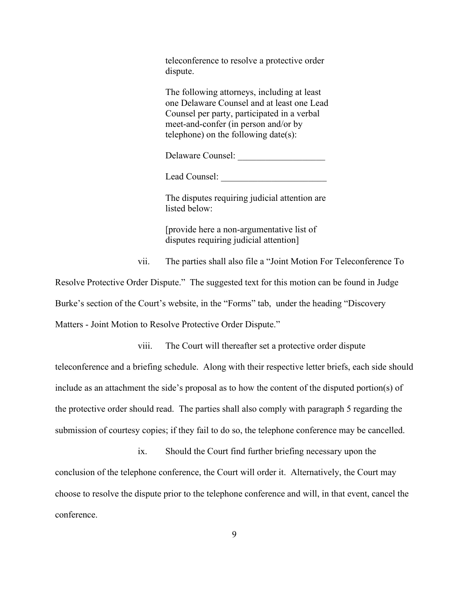teleconference to resolve a protective order dispute.

The following attorneys, including at least one Delaware Counsel and at least one Lead Counsel per party, participated in a verbal meet-and-confer (in person and/or by telephone) on the following date(s):

Delaware Counsel:

Lead Counsel:

The disputes requiring judicial attention are listed below:

[provide here a non-argumentative list of disputes requiring judicial attention]

vii. The parties shall also file a "Joint Motion For Teleconference To

Resolve Protective Order Dispute." The suggested text for this motion can be found in Judge Burke's section of the Court's website, in the "Forms" tab, under the heading "Discovery Matters - Joint Motion to Resolve Protective Order Dispute."

viii. The Court will thereafter set a protective order dispute

teleconference and a briefing schedule. Along with their respective letter briefs, each side should include as an attachment the side's proposal as to how the content of the disputed portion(s) of the protective order should read. The parties shall also comply with paragraph 5 regarding the submission of courtesy copies; if they fail to do so, the telephone conference may be cancelled.

ix. Should the Court find further briefing necessary upon the conclusion of the telephone conference, the Court will order it. Alternatively, the Court may choose to resolve the dispute prior to the telephone conference and will, in that event, cancel the conference.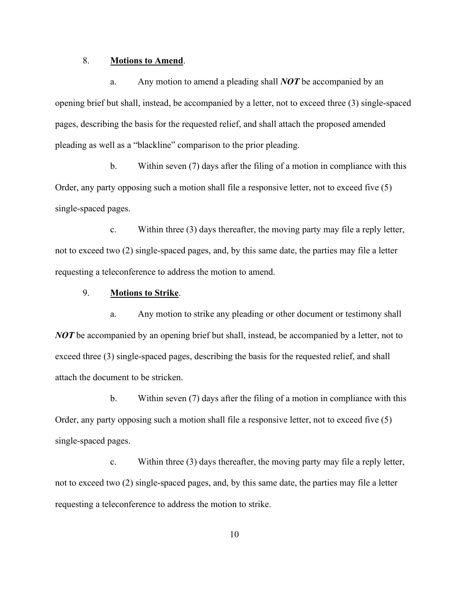# 8. **Motions to Amend**.

a. Any motion to amend a pleading shall *NOT* be accompanied by an opening brief but shall, instead, be accompanied by a letter, not to exceed three (3) single-spaced pages, describing the basis for the requested relief, and shall attach the proposed amended pleading as well as a "blackline" comparison to the prior pleading.

b. Within seven (7) days after the filing of a motion in compliance with this Order, any party opposing such a motion shall file a responsive letter, not to exceed five (5) single-spaced pages.

c. Within three (3) days thereafter, the moving party may file a reply letter, not to exceed two (2) single-spaced pages, and, by this same date, the parties may file a letter requesting a teleconference to address the motion to amend.

# 9. **Motions to Strike**.

a. Any motion to strike any pleading or other document or testimony shall *NOT* be accompanied by an opening brief but shall, instead, be accompanied by a letter, not to exceed three (3) single-spaced pages, describing the basis for the requested relief, and shall attach the document to be stricken.

b. Within seven (7) days after the filing of a motion in compliance with this Order, any party opposing such a motion shall file a responsive letter, not to exceed five (5) single-spaced pages.

c. Within three (3) days thereafter, the moving party may file a reply letter, not to exceed two (2) single-spaced pages, and, by this same date, the parties may file a letter requesting a teleconference to address the motion to strike.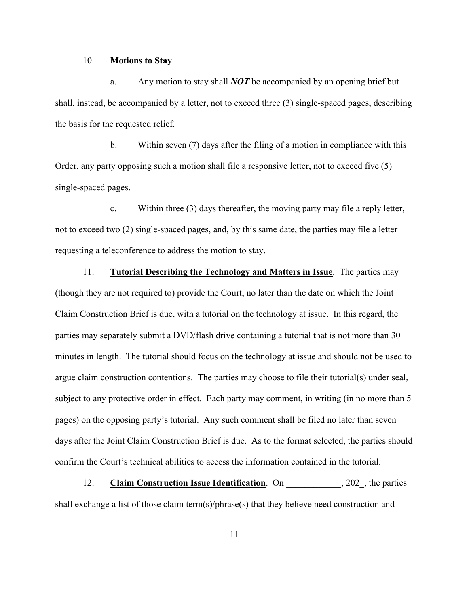#### 10. **Motions to Stay**.

a. Any motion to stay shall *NOT* be accompanied by an opening brief but shall, instead, be accompanied by a letter, not to exceed three (3) single-spaced pages, describing the basis for the requested relief.

b. Within seven (7) days after the filing of a motion in compliance with this Order, any party opposing such a motion shall file a responsive letter, not to exceed five (5) single-spaced pages.

c. Within three (3) days thereafter, the moving party may file a reply letter, not to exceed two (2) single-spaced pages, and, by this same date, the parties may file a letter requesting a teleconference to address the motion to stay.

11. **Tutorial Describing the Technology and Matters in Issue**. The parties may (though they are not required to) provide the Court, no later than the date on which the Joint Claim Construction Brief is due, with a tutorial on the technology at issue. In this regard, the parties may separately submit a DVD/flash drive containing a tutorial that is not more than 30 minutes in length. The tutorial should focus on the technology at issue and should not be used to argue claim construction contentions. The parties may choose to file their tutorial(s) under seal, subject to any protective order in effect. Each party may comment, in writing (in no more than 5 pages) on the opposing party's tutorial. Any such comment shall be filed no later than seven days after the Joint Claim Construction Brief is due. As to the format selected, the parties should confirm the Court's technical abilities to access the information contained in the tutorial.

12. **Claim Construction Issue Identification**. On 302, the parties shall exchange a list of those claim term(s)/phrase(s) that they believe need construction and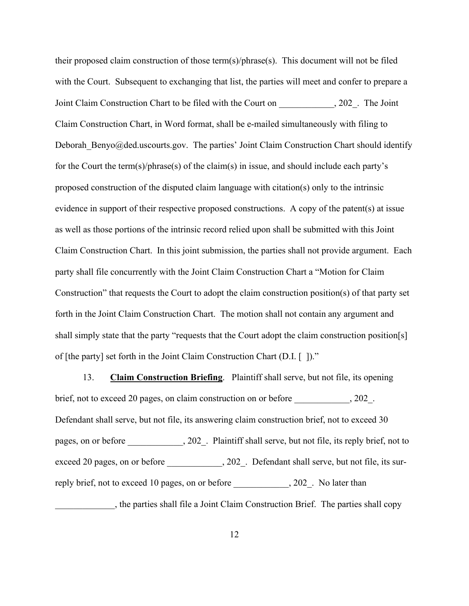their proposed claim construction of those term(s)/phrase(s). This document will not be filed with the Court. Subsequent to exchanging that list, the parties will meet and confer to prepare a Joint Claim Construction Chart to be filed with the Court on \_\_\_\_\_\_\_\_\_\_\_\_, 202\_. The Joint Claim Construction Chart, in Word format, shall be e-mailed simultaneously with filing to Deborah Benyo@ded.uscourts.gov. The parties' Joint Claim Construction Chart should identify for the Court the term(s)/phrase(s) of the claim(s) in issue, and should include each party's proposed construction of the disputed claim language with citation(s) only to the intrinsic evidence in support of their respective proposed constructions. A copy of the patent(s) at issue as well as those portions of the intrinsic record relied upon shall be submitted with this Joint Claim Construction Chart. In this joint submission, the parties shall not provide argument. Each party shall file concurrently with the Joint Claim Construction Chart a "Motion for Claim Construction" that requests the Court to adopt the claim construction position(s) of that party set forth in the Joint Claim Construction Chart. The motion shall not contain any argument and shall simply state that the party "requests that the Court adopt the claim construction position[s] of [the party] set forth in the Joint Claim Construction Chart (D.I. [ ])."

13. **Claim Construction Briefing**. Plaintiff shall serve, but not file, its opening brief, not to exceed 20 pages, on claim construction on or before \_\_\_\_\_\_\_\_\_\_\_\_, 202\_. Defendant shall serve, but not file, its answering claim construction brief, not to exceed 30 pages, on or before \_\_\_\_\_\_\_\_\_\_, 202\_. Plaintiff shall serve, but not file, its reply brief, not to exceed 20 pages, on or before \_\_\_\_\_\_\_\_\_\_, 202\_. Defendant shall serve, but not file, its surreply brief, not to exceed 10 pages, on or before \_\_\_\_\_\_\_\_\_\_\_\_, 202\_. No later than \_\_\_\_\_\_\_\_\_\_\_\_\_, the parties shall file a Joint Claim Construction Brief. The parties shall copy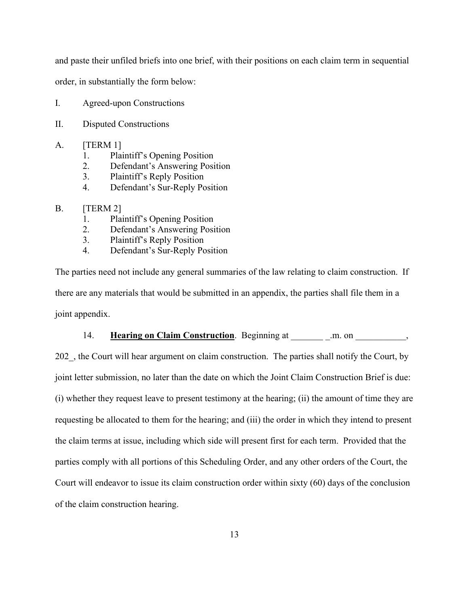and paste their unfiled briefs into one brief, with their positions on each claim term in sequential

order, in substantially the form below:

- I. Agreed-upon Constructions
- II. Disputed Constructions
- A. [TERM 1]
	- 1. Plaintiff's Opening Position
	- 2. Defendant's Answering Position
	- 3. Plaintiff's Reply Position
	- 4. Defendant's Sur-Reply Position

### B. [TERM 2]

- 1. Plaintiff's Opening Position
- 2. Defendant's Answering Position
- 3. Plaintiff's Reply Position
- 4. Defendant's Sur-Reply Position

The parties need not include any general summaries of the law relating to claim construction. If there are any materials that would be submitted in an appendix, the parties shall file them in a joint appendix.

### 14. **Hearing on Claim Construction**. Beginning at .m. on  $\qquad \qquad$ ,

202, the Court will hear argument on claim construction. The parties shall notify the Court, by joint letter submission, no later than the date on which the Joint Claim Construction Brief is due: (i) whether they request leave to present testimony at the hearing; (ii) the amount of time they are requesting be allocated to them for the hearing; and (iii) the order in which they intend to present the claim terms at issue, including which side will present first for each term. Provided that the parties comply with all portions of this Scheduling Order, and any other orders of the Court, the Court will endeavor to issue its claim construction order within sixty (60) days of the conclusion of the claim construction hearing.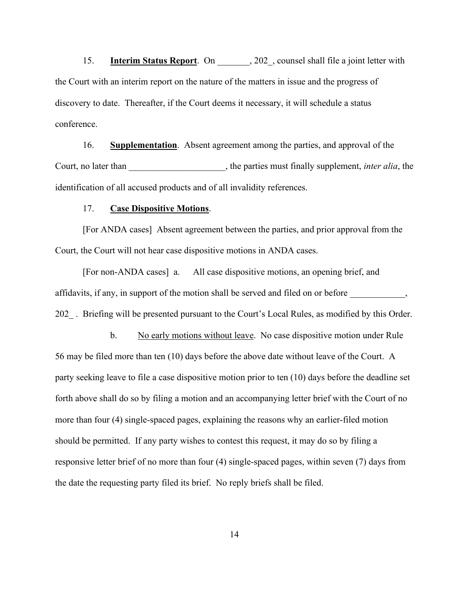15. **Interim Status Report**. On 202, counsel shall file a joint letter with the Court with an interim report on the nature of the matters in issue and the progress of discovery to date. Thereafter, if the Court deems it necessary, it will schedule a status conference.

16. **Supplementation**. Absent agreement among the parties, and approval of the Court, no later than  $\qquad \qquad$ , the parties must finally supplement, *inter alia*, the identification of all accused products and of all invalidity references.

#### 17. **Case Dispositive Motions**.

[For ANDA cases] Absent agreement between the parties, and prior approval from the Court, the Court will not hear case dispositive motions in ANDA cases.

[For non-ANDA cases] a. All case dispositive motions, an opening brief, and affidavits, if any, in support of the motion shall be served and filed on or before \_\_\_\_\_\_\_\_\_\_, 202 . Briefing will be presented pursuant to the Court's Local Rules, as modified by this Order.

b. No early motions without leave. No case dispositive motion under Rule 56 may be filed more than ten (10) days before the above date without leave of the Court. A party seeking leave to file a case dispositive motion prior to ten (10) days before the deadline set forth above shall do so by filing a motion and an accompanying letter brief with the Court of no more than four (4) single-spaced pages, explaining the reasons why an earlier-filed motion should be permitted. If any party wishes to contest this request, it may do so by filing a responsive letter brief of no more than four (4) single-spaced pages, within seven (7) days from the date the requesting party filed its brief. No reply briefs shall be filed.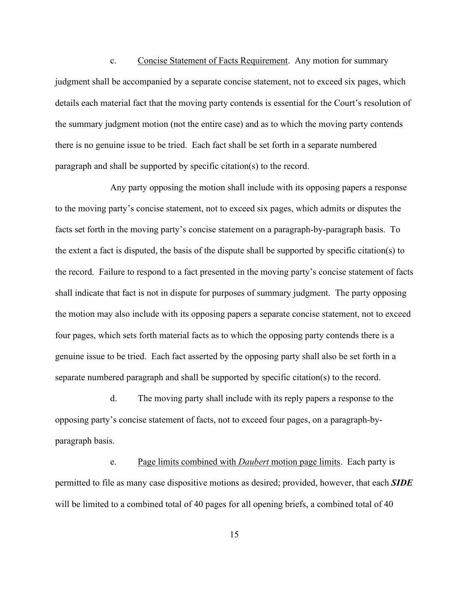c. Concise Statement of Facts Requirement. Any motion for summary judgment shall be accompanied by a separate concise statement, not to exceed six pages, which details each material fact that the moving party contends is essential for the Court's resolution of the summary judgment motion (not the entire case) and as to which the moving party contends there is no genuine issue to be tried. Each fact shall be set forth in a separate numbered paragraph and shall be supported by specific citation(s) to the record.

Any party opposing the motion shall include with its opposing papers a response to the moving party's concise statement, not to exceed six pages, which admits or disputes the facts set forth in the moving party's concise statement on a paragraph-by-paragraph basis. To the extent a fact is disputed, the basis of the dispute shall be supported by specific citation(s) to the record. Failure to respond to a fact presented in the moving party's concise statement of facts shall indicate that fact is not in dispute for purposes of summary judgment. The party opposing the motion may also include with its opposing papers a separate concise statement, not to exceed four pages, which sets forth material facts as to which the opposing party contends there is a genuine issue to be tried. Each fact asserted by the opposing party shall also be set forth in a separate numbered paragraph and shall be supported by specific citation(s) to the record.

d. The moving party shall include with its reply papers a response to the opposing party's concise statement of facts, not to exceed four pages, on a paragraph-byparagraph basis.

e. Page limits combined with *Daubert* motion page limits. Each party is permitted to file as many case dispositive motions as desired; provided, however, that each *SIDE* will be limited to a combined total of 40 pages for all opening briefs, a combined total of 40

15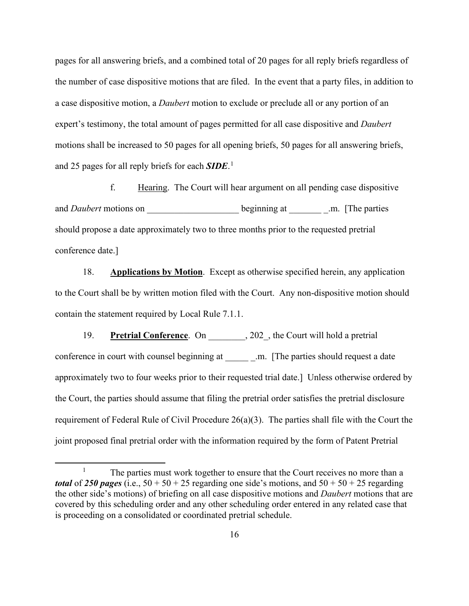pages for all answering briefs, and a combined total of 20 pages for all reply briefs regardless of the number of case dispositive motions that are filed. In the event that a party files, in addition to a case dispositive motion, a *Daubert* motion to exclude or preclude all or any portion of an expert's testimony, the total amount of pages permitted for all case dispositive and *Daubert* motions shall be increased to 50 pages for all opening briefs, 50 pages for all answering briefs, and 25 pages for all reply briefs for each *SIDE*. [1](#page-15-0)

f. Hearing. The Court will hear argument on all pending case dispositive and *Daubert* motions on beginning at \_\_\_\_\_\_\_. The parties should propose a date approximately two to three months prior to the requested pretrial conference date.]

18. **Applications by Motion**. Except as otherwise specified herein, any application to the Court shall be by written motion filed with the Court. Any non-dispositive motion should contain the statement required by Local Rule 7.1.1.

19. **Pretrial Conference**. On 202, the Court will hold a pretrial conference in court with counsel beginning at \_\_\_\_\_\_\_\_.m. [The parties should request a date approximately two to four weeks prior to their requested trial date.] Unless otherwise ordered by the Court, the parties should assume that filing the pretrial order satisfies the pretrial disclosure requirement of Federal Rule of Civil Procedure 26(a)(3). The parties shall file with the Court the joint proposed final pretrial order with the information required by the form of Patent Pretrial

<span id="page-15-0"></span><sup>&</sup>lt;sup>1</sup> The parties must work together to ensure that the Court receives no more than a *total* of 250 *pages* (i.e.,  $50 + 50 + 25$  regarding one side's motions, and  $50 + 50 + 25$  regarding the other side's motions) of briefing on all case dispositive motions and *Daubert* motions that are covered by this scheduling order and any other scheduling order entered in any related case that is proceeding on a consolidated or coordinated pretrial schedule.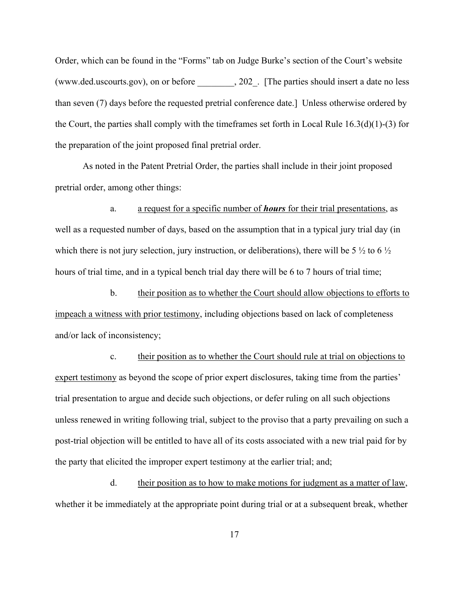Order, which can be found in the "Forms" tab on Judge Burke's section of the Court's website [\(www.ded.uscourts.gov\),](http://www.ded.uscourts.gov),/) on or before \_\_\_\_\_\_\_\_, 202\_. [The parties should insert a date no less than seven (7) days before the requested pretrial conference date.] Unless otherwise ordered by the Court, the parties shall comply with the timeframes set forth in Local Rule 16.3(d)(1)-(3) for the preparation of the joint proposed final pretrial order.

As noted in the Patent Pretrial Order, the parties shall include in their joint proposed pretrial order, among other things:

a. a request for a specific number of *hours* for their trial presentations, as well as a requested number of days, based on the assumption that in a typical jury trial day (in which there is not jury selection, jury instruction, or deliberations), there will be 5  $\frac{1}{2}$  to 6  $\frac{1}{2}$ hours of trial time, and in a typical bench trial day there will be 6 to 7 hours of trial time;

b. their position as to whether the Court should allow objections to efforts to impeach a witness with prior testimony, including objections based on lack of completeness and/or lack of inconsistency;

c. their position as to whether the Court should rule at trial on objections to expert testimony as beyond the scope of prior expert disclosures, taking time from the parties' trial presentation to argue and decide such objections, or defer ruling on all such objections unless renewed in writing following trial, subject to the proviso that a party prevailing on such a post-trial objection will be entitled to have all of its costs associated with a new trial paid for by the party that elicited the improper expert testimony at the earlier trial; and;

d. their position as to how to make motions for judgment as a matter of law, whether it be immediately at the appropriate point during trial or at a subsequent break, whether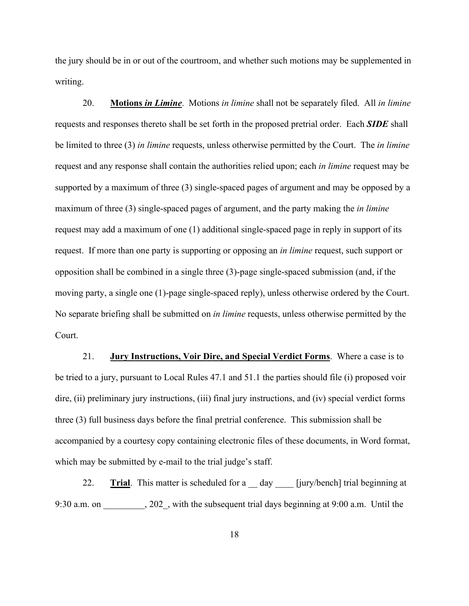the jury should be in or out of the courtroom, and whether such motions may be supplemented in writing.

20. **Motions** *in Limine*. Motions *in limine* shall not be separately filed. All *in limine*  requests and responses thereto shall be set forth in the proposed pretrial order. Each *SIDE* shall be limited to three (3) *in limine* requests, unless otherwise permitted by the Court. The *in limine*  request and any response shall contain the authorities relied upon; each *in limine* request may be supported by a maximum of three (3) single-spaced pages of argument and may be opposed by a maximum of three (3) single-spaced pages of argument, and the party making the *in limine*  request may add a maximum of one (1) additional single-spaced page in reply in support of its request. If more than one party is supporting or opposing an *in limine* request, such support or opposition shall be combined in a single three (3)-page single-spaced submission (and, if the moving party, a single one (1)-page single-spaced reply), unless otherwise ordered by the Court. No separate briefing shall be submitted on *in limine* requests, unless otherwise permitted by the Court.

21. **Jury Instructions, Voir Dire, and Special Verdict Forms**. Where a case is to be tried to a jury, pursuant to Local Rules 47.1 and 51.1 the parties should file (i) proposed voir dire, (ii) preliminary jury instructions, (iii) final jury instructions, and (iv) special verdict forms three (3) full business days before the final pretrial conference. This submission shall be accompanied by a courtesy copy containing electronic files of these documents, in Word format, which may be submitted by e-mail to the trial judge's staff.

22. **Trial**. This matter is scheduled for a \_\_ day \_\_\_\_ [jury/bench] trial beginning at 9:30 a.m. on \_\_\_\_\_\_\_\_, 202\_, with the subsequent trial days beginning at 9:00 a.m. Until the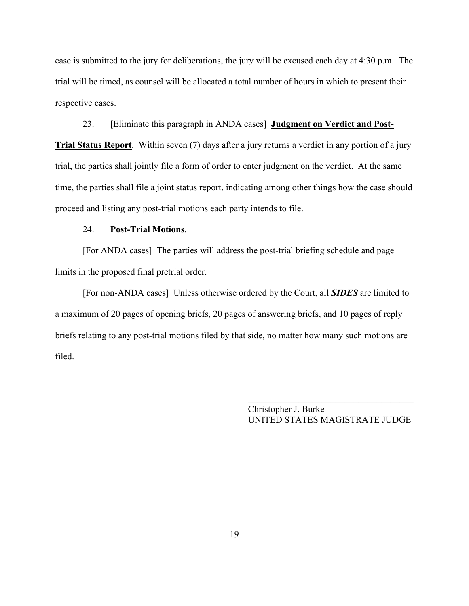case is submitted to the jury for deliberations, the jury will be excused each day at 4:30 p.m. The trial will be timed, as counsel will be allocated a total number of hours in which to present their respective cases.

23. [Eliminate this paragraph in ANDA cases] **Judgment on Verdict and Post-Trial Status Report**. Within seven (7) days after a jury returns a verdict in any portion of a jury trial, the parties shall jointly file a form of order to enter judgment on the verdict. At the same time, the parties shall file a joint status report, indicating among other things how the case should proceed and listing any post-trial motions each party intends to file.

# 24. **Post-Trial Motions**.

[For ANDA cases] The parties will address the post-trial briefing schedule and page limits in the proposed final pretrial order.

[For non-ANDA cases] Unless otherwise ordered by the Court, all *SIDES* are limited to a maximum of 20 pages of opening briefs, 20 pages of answering briefs, and 10 pages of reply briefs relating to any post-trial motions filed by that side, no matter how many such motions are filed.

> Christopher J. Burke UNITED STATES MAGISTRATE JUDGE